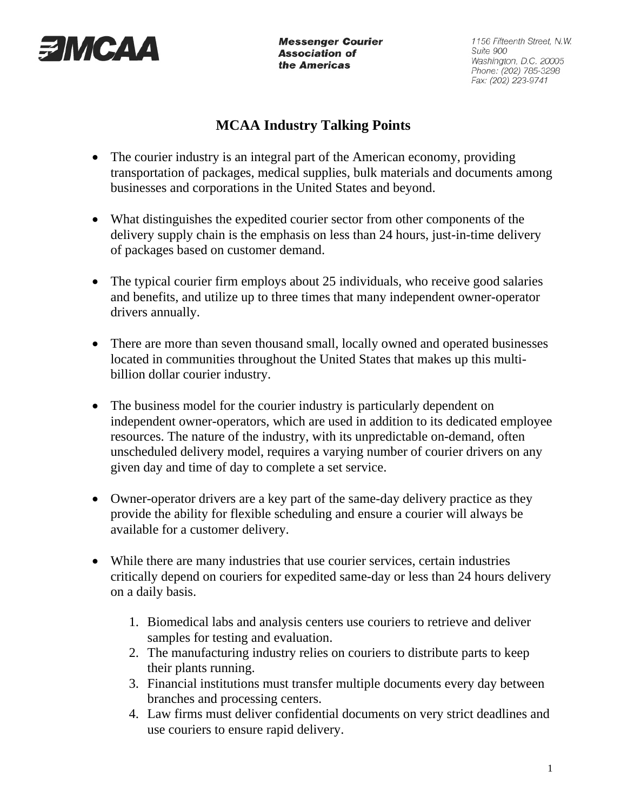

**Messenger Courier Association of** the Americas

1156 Fifteenth Street, N.W. Suite 900 Washington, D.C. 20005 Phone: (202) 785-3298 Fax: (202) 223-9741

## **MCAA Industry Talking Points**

- The courier industry is an integral part of the American economy, providing transportation of packages, medical supplies, bulk materials and documents among businesses and corporations in the United States and beyond.
- What distinguishes the expedited courier sector from other components of the delivery supply chain is the emphasis on less than 24 hours, just-in-time delivery of packages based on customer demand.
- The typical courier firm employs about 25 individuals, who receive good salaries and benefits, and utilize up to three times that many independent owner-operator drivers annually.
- There are more than seven thousand small, locally owned and operated businesses located in communities throughout the United States that makes up this multibillion dollar courier industry.
- The business model for the courier industry is particularly dependent on independent owner-operators, which are used in addition to its dedicated employee resources. The nature of the industry, with its unpredictable on-demand, often unscheduled delivery model, requires a varying number of courier drivers on any given day and time of day to complete a set service.
- Owner-operator drivers are a key part of the same-day delivery practice as they provide the ability for flexible scheduling and ensure a courier will always be available for a customer delivery.
- While there are many industries that use courier services, certain industries critically depend on couriers for expedited same-day or less than 24 hours delivery on a daily basis.
	- 1. Biomedical labs and analysis centers use couriers to retrieve and deliver samples for testing and evaluation.
	- 2. The manufacturing industry relies on couriers to distribute parts to keep their plants running.
	- 3. Financial institutions must transfer multiple documents every day between branches and processing centers.
	- 4. Law firms must deliver confidential documents on very strict deadlines and use couriers to ensure rapid delivery.